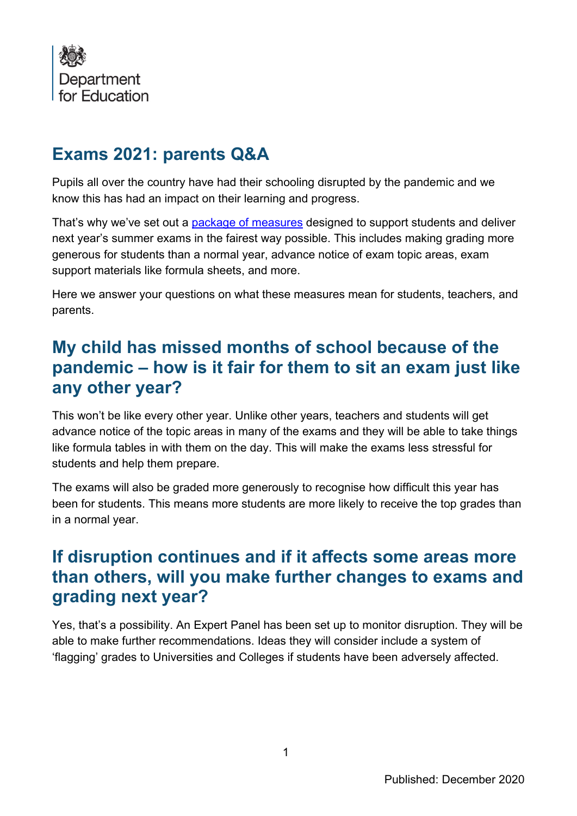

### **Exams 2021: parents Q&A**

Pupils all over the country have had their schooling disrupted by the pandemic and we know this has had an impact on their learning and progress.

That's why we've set out a [package of measures](https://www.gov.uk/government/publications/guidance-to-support-the-summer-2021-exams) designed to support students and deliver next year's summer exams in the fairest way possible. This includes making grading more generous for students than a normal year, advance notice of exam topic areas, exam support materials like formula sheets, and more.

Here we answer your questions on what these measures mean for students, teachers, and parents.

# **My child has missed months of school because of the pandemic – how is it fair for them to sit an exam just like any other year?**

This won't be like every other year. Unlike other years, teachers and students will get advance notice of the topic areas in many of the exams and they will be able to take things like formula tables in with them on the day. This will make the exams less stressful for students and help them prepare.

The exams will also be graded more generously to recognise how difficult this year has been for students. This means more students are more likely to receive the top grades than in a normal year.

### **If disruption continues and if it affects some areas more than others, will you make further changes to exams and grading next year?**

Yes, that's a possibility. An Expert Panel has been set up to monitor disruption. They will be able to make further recommendations. Ideas they will consider include a system of 'flagging' grades to Universities and Colleges if students have been adversely affected.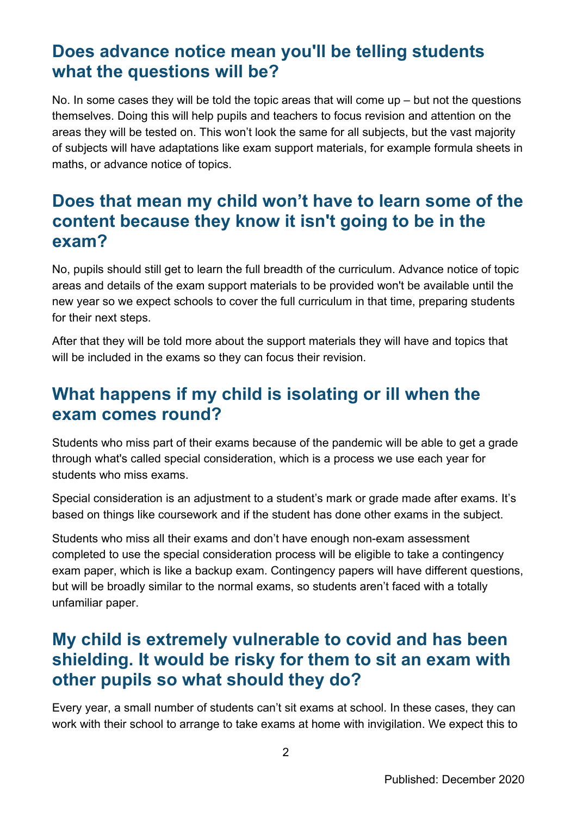# **Does advance notice mean you'll be telling students what the questions will be?**

No. In some cases they will be told the topic areas that will come up – but not the questions themselves. Doing this will help pupils and teachers to focus revision and attention on the areas they will be tested on. This won't look the same for all subjects, but the vast majority of subjects will have adaptations like exam support materials, for example formula sheets in maths, or advance notice of topics.

### **Does that mean my child won't have to learn some of the content because they know it isn't going to be in the exam?**

No, pupils should still get to learn the full breadth of the curriculum. Advance notice of topic areas and details of the exam support materials to be provided won't be available until the new year so we expect schools to cover the full curriculum in that time, preparing students for their next steps.

After that they will be told more about the support materials they will have and topics that will be included in the exams so they can focus their revision.

### **What happens if my child is isolating or ill when the exam comes round?**

Students who miss part of their exams because of the pandemic will be able to get a grade through what's called special consideration, which is a process we use each year for students who miss exams.

Special consideration is an adjustment to a student's mark or grade made after exams. It's based on things like coursework and if the student has done other exams in the subject.

Students who miss all their exams and don't have enough non-exam assessment completed to use the special consideration process will be eligible to take a contingency exam paper, which is like a backup exam. Contingency papers will have different questions, but will be broadly similar to the normal exams, so students aren't faced with a totally unfamiliar paper.

# **My child is extremely vulnerable to covid and has been shielding. It would be risky for them to sit an exam with other pupils so what should they do?**

Every year, a small number of students can't sit exams at school. In these cases, they can work with their school to arrange to take exams at home with invigilation. We expect this to